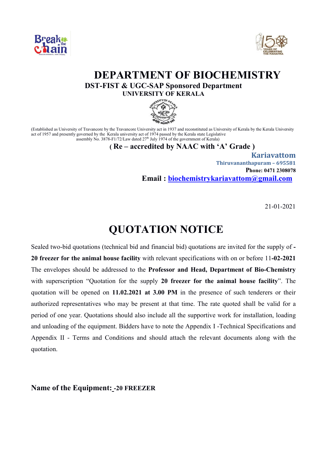



# **DEPARTMENT OF BIOCHEMISTRY**<br>DST-FIST & UGC-SAP Sponsored Department

**UNIVERSITY OF KERALA**



(Established as University of Travancore by the Travancore University act in 1937 and reconstituted as University of Kerala by the Kerala University act of 1957 and presently governed by the Kerala university act of 1974 passed by the Kerala state Legislative assembly No.  $3878-F1/72/Law$  dated  $27<sup>th</sup>$  July 1974 of the government of Kerala)

#### **( Re – accredited by NAAC with 'A' Grade )**

 **Kariavattom Thiruvananthapuram – 695581 Phone: 0471 2308078 Email : biochemistrykariavattom@gmail.com**

21-01-2021

## **QUOTATION NOTICE**

Sealed two-bid quotations (technical bid and financial bid) quotations are invited for the supply of **- 20 freezer for the animal house facility** with relevant specifications with on or before 11**-02-2021** The envelopes should be addressed to the **Professor and Head, Department of Bio-Chemistry** with superscription "Quotation for the supply **20 freezer for the animal house facility**". The quotation will be opened on **11.02.2021 at 3.00 PM** in the presence of such tenderers or their authorized representatives who may be present at that time. The rate quoted shall be valid for a period of one year. Quotations should also include all the supportive work for installation, loading and unloading of the equipment. Bidders have to note the Appendix I -Technical Specifications and Appendix II - Terms and Conditions and should attach the relevant documents along with the quotation.

**Name of the Equipment: -20 FREEZER**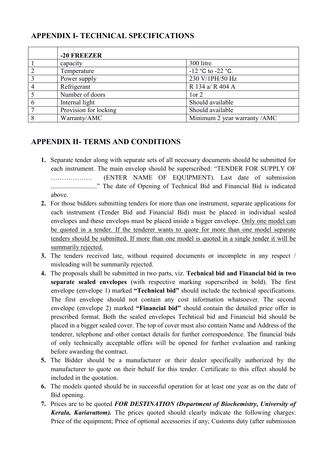### **APPENDIX I- TECHNICAL SPECIFICATIONS**

|   | -20 FREEZER           |                              |
|---|-----------------------|------------------------------|
|   | capacity              | 300 litre                    |
|   | Temperature           | $-12$ °C to $-22$ °C.        |
| 3 | Power supply          | 230 V/1PH/50 Hz              |
|   | Refrigerant           | R 134 a/ R 404 A             |
|   | Number of doors       | 1 or 2                       |
|   | Internal light        | Should available             |
|   | Provision for locking | Should available             |
| 8 | Warranty/AMC          | Minimum 2 year warranty /AMC |

### **APPENDIX II- TERMS AND CONDITIONS**

- **1.** Separate tender along with separate sets of all necessary documents should be submitted for each instrument. The main envelop should be superscribed: "TENDER FOR SUPPLY OF ………………. (ENTER NAME OF EQUIPMENT). Last date of submission ............................" The date of Opening of Technical Bid and Financial Bid is indicated above.
- **2.** For those bidders submitting tenders for more than one instrument, separate applications for each instrument (Tender Bid and Financial Bid) must be placed in individual sealed envelopes and these envelops must be placed inside a bigger envelope. Only one model can be quoted in a tender. If the tenderer wants to quote for more than one model separate tenders should be submitted. If more than one model is quoted in a single tender it will be summarily rejected.
- **3.** The tenders received late, without required documents or incomplete in any respect / misleading will be summarily rejected.
- **4.** The proposals shall be submitted in two parts, viz. **Technical bid and Financial bid in two separate sealed envelopes** (with respective marking superscribed in bold). The first envelope (envelope 1) marked **"Technical bid"** should include the technical specifications. The first envelope should not contain any cost information whatsoever. The second envelope (envelope 2) marked **"Financial bid"** should contain the detailed price offer in prescribed format. Both the sealed envelopes Technical bid and Financial bid should be placed in a bigger sealed cover. The top of cover must also contain Name and Address of the tenderer, telephone and other contact details for further correspondence. The financial bids of only technically acceptable offers will be opened for further evaluation and ranking before awarding the contract.
- **5.** The Bidder should be a manufacturer or their dealer specifically authorized by the manufacturer to quote on their behalf for this tender. Certificate to this effect should be included in the quotation.
- **6.** The models quoted should be in successful operation for at least one year as on the date of Bid opening.
- **7.** Prices are to be quoted *FOR DESTINATION (Department of Biochemistry, University of Kerala, Kariavattom).* The prices quoted should clearly indicate the following charges: Price of the equipment; Price of optional accessories if any; Customs duty (after submission